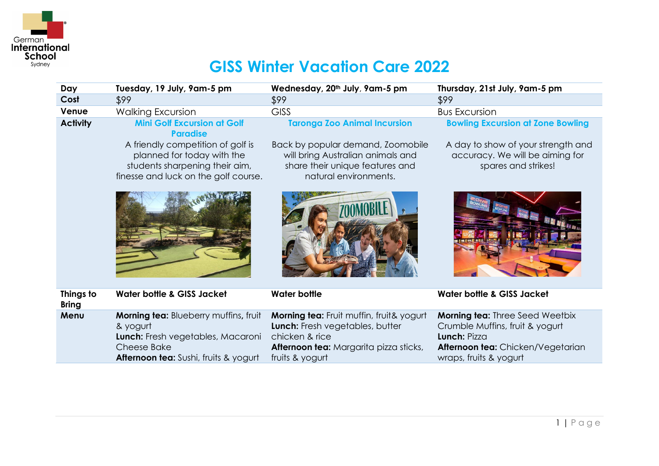

## **GISS Winter Vacation Care 2022**

| Day                       | Tuesday, 19 July, 9am-5 pm                                                                                                                                   | Wednesday, 20th July, 9am-5 pm                                                                                                                             | Thursday, 21st July, 9am-5 pm                                                                                                                            |
|---------------------------|--------------------------------------------------------------------------------------------------------------------------------------------------------------|------------------------------------------------------------------------------------------------------------------------------------------------------------|----------------------------------------------------------------------------------------------------------------------------------------------------------|
| Cost                      | \$99                                                                                                                                                         | \$99                                                                                                                                                       | \$99                                                                                                                                                     |
| Venue                     | <b>Walking Excursion</b>                                                                                                                                     | <b>GISS</b>                                                                                                                                                | <b>Bus Excursion</b>                                                                                                                                     |
| <b>Activity</b>           | <b>Mini Golf Excursion at Golf</b><br><b>Paradise</b>                                                                                                        | <b>Taronga Zoo Animal Incursion</b>                                                                                                                        | <b>Bowling Excursion at Zone Bowling</b>                                                                                                                 |
|                           | A friendly competition of golf is<br>planned for today with the<br>students sharpening their aim,<br>finesse and luck on the golf course.                    | Back by popular demand, Zoomobile<br>will bring Australian animals and<br>share their unique features and<br>natural environments.                         | A day to show of your strength and<br>accuracy. We will be aiming for<br>spares and strikes!                                                             |
|                           |                                                                                                                                                              |                                                                                                                                                            |                                                                                                                                                          |
| Things to<br><b>Bring</b> | <b>Water bottle &amp; GISS Jacket</b>                                                                                                                        | <b>Water bottle</b>                                                                                                                                        | <b>Water bottle &amp; GISS Jacket</b>                                                                                                                    |
| Menu                      | Morning tea: Blueberry muffins, fruit<br>& yogurt<br>Lunch: Fresh vegetables, Macaroni<br><b>Cheese Bake</b><br><b>Afternoon tea:</b> Sushi, fruits & yogurt | Morning tea: Fruit muffin, fruit& yogurt<br>Lunch: Fresh vegetables, butter<br>chicken & rice<br>Afternoon tea: Margarita pizza sticks,<br>fruits & yogurt | <b>Morning tea: Three Seed Weetbix</b><br>Crumble Muffins, fruit & yogurt<br>Lunch: Pizza<br>Afternoon tea: Chicken/Vegetarian<br>wraps, fruits & yogurt |
|                           |                                                                                                                                                              |                                                                                                                                                            |                                                                                                                                                          |